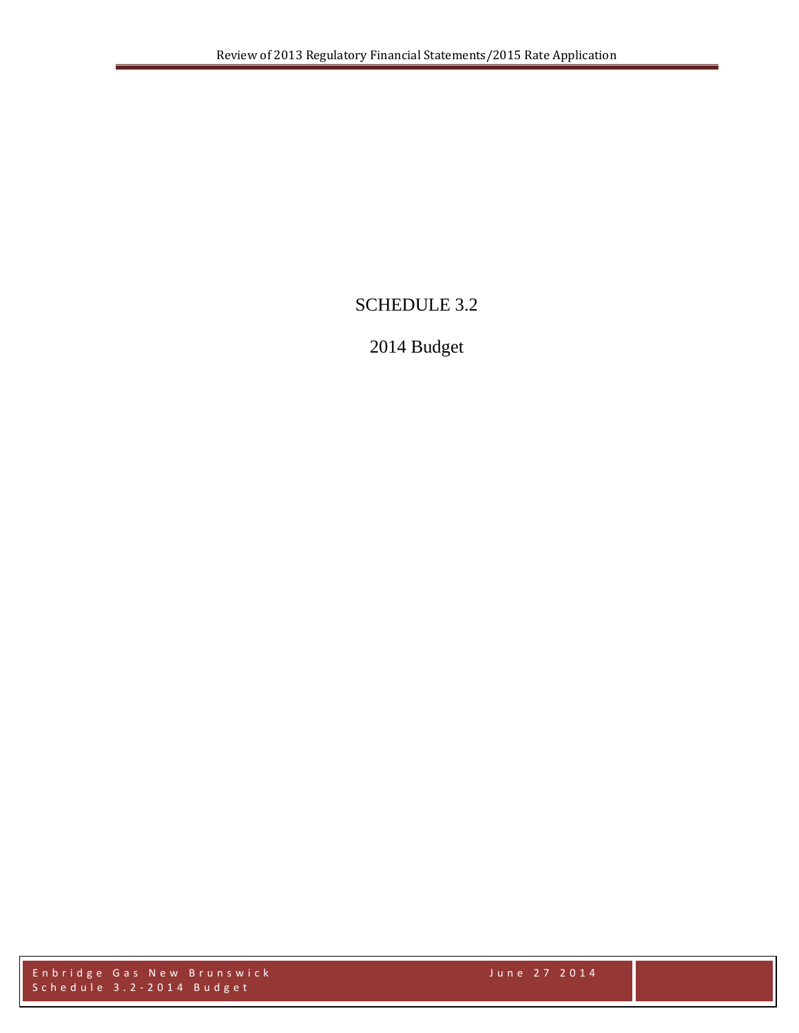# SCHEDULE 3.2

# 2014 Budget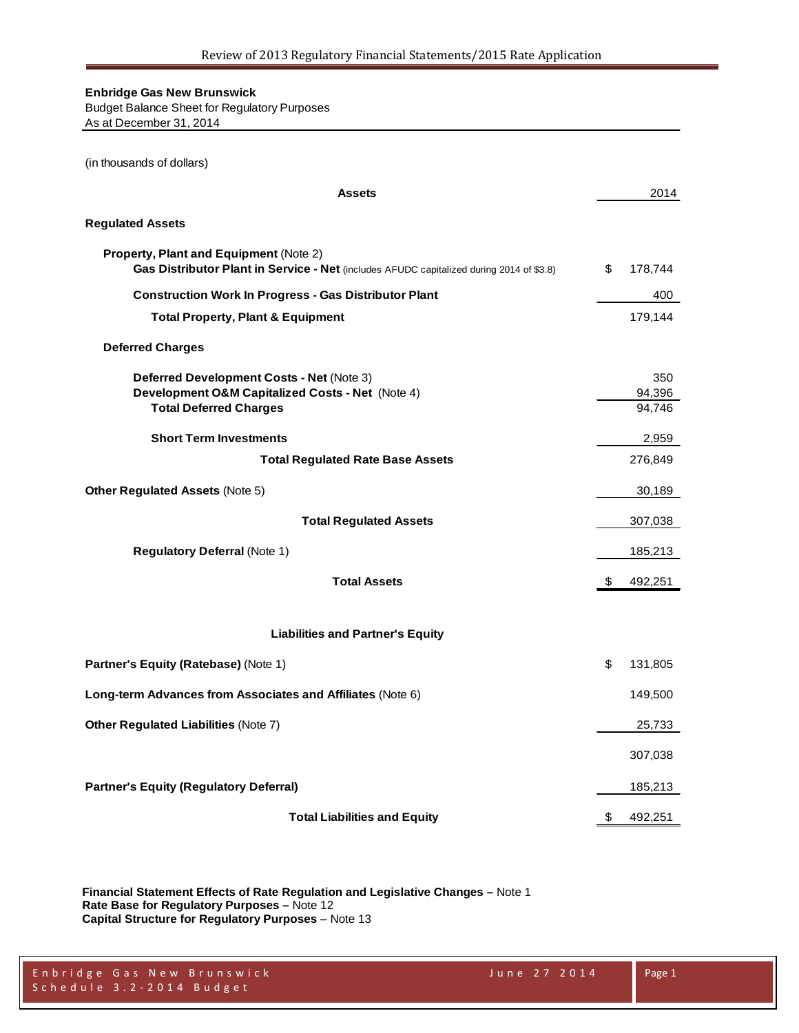Budget Balance Sheet for Regulatory Purposes As at December 31, 2014

(in thousands of dollars)

| <b>Assets</b>                                                                                                                             | 2014                    |
|-------------------------------------------------------------------------------------------------------------------------------------------|-------------------------|
| <b>Regulated Assets</b>                                                                                                                   |                         |
| <b>Property, Plant and Equipment (Note 2)</b><br>Gas Distributor Plant in Service - Net (includes AFUDC capitalized during 2014 of \$3.8) | \$<br>178,744           |
| <b>Construction Work In Progress - Gas Distributor Plant</b>                                                                              | 400                     |
| <b>Total Property, Plant &amp; Equipment</b>                                                                                              | 179,144                 |
| <b>Deferred Charges</b>                                                                                                                   |                         |
| Deferred Development Costs - Net (Note 3)<br>Development O&M Capitalized Costs - Net (Note 4)<br><b>Total Deferred Charges</b>            | 350<br>94,396<br>94,746 |
| <b>Short Term Investments</b>                                                                                                             | 2,959                   |
| <b>Total Regulated Rate Base Assets</b>                                                                                                   | 276,849                 |
| <b>Other Regulated Assets (Note 5)</b>                                                                                                    | 30,189                  |
| <b>Total Regulated Assets</b>                                                                                                             | 307,038                 |
| <b>Regulatory Deferral (Note 1)</b>                                                                                                       | 185,213                 |
| <b>Total Assets</b>                                                                                                                       | \$<br>492,251           |
| <b>Liabilities and Partner's Equity</b>                                                                                                   |                         |
| Partner's Equity (Ratebase) (Note 1)                                                                                                      | \$<br>131,805           |
| Long-term Advances from Associates and Affiliates (Note 6)                                                                                | 149,500                 |
| <b>Other Regulated Liabilities (Note 7)</b>                                                                                               | 25,733                  |
|                                                                                                                                           | 307,038                 |
| <b>Partner's Equity (Regulatory Deferral)</b>                                                                                             | 185,213                 |
| <b>Total Liabilities and Equity</b>                                                                                                       | \$<br>492,251           |

**Financial Statement Effects of Rate Regulation and Legislative Changes –** Note 1 **Rate Base for Regulatory Purposes –** Note 12 **Capital Structure for Regulatory Purposes** – Note 13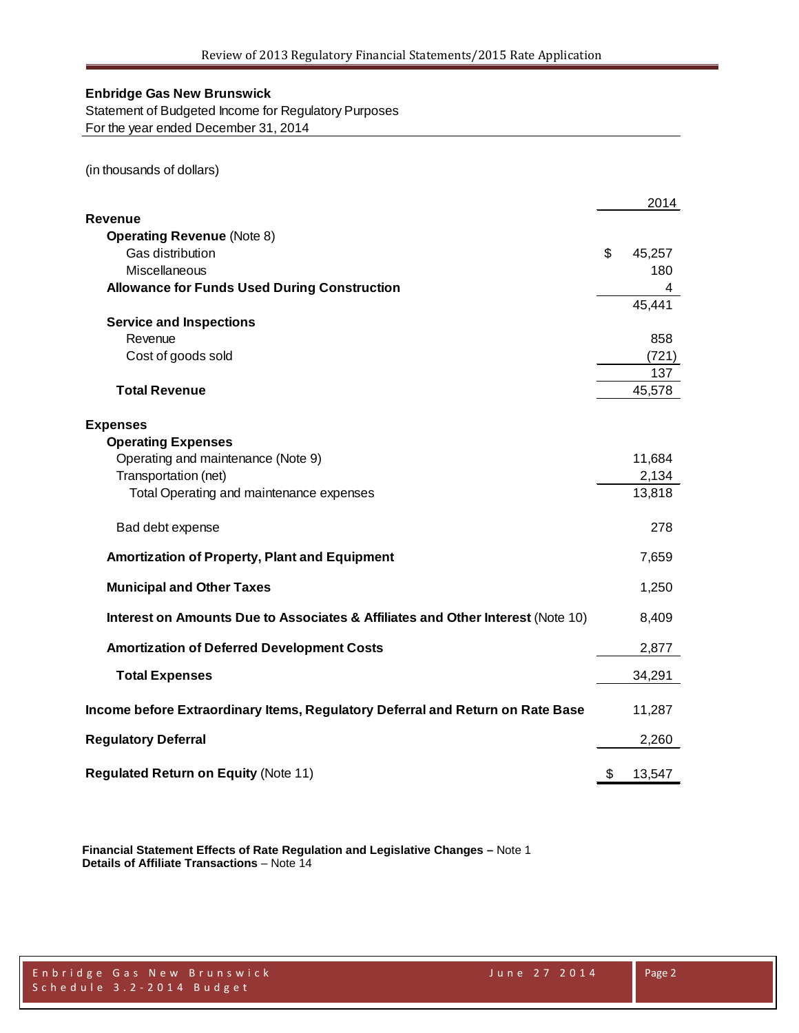Statement of Budgeted Income for Regulatory Purposes For the year ended December 31, 2014

(in thousands of dollars)

|                                                                                 | 2014         |
|---------------------------------------------------------------------------------|--------------|
| <b>Revenue</b>                                                                  |              |
| <b>Operating Revenue (Note 8)</b>                                               |              |
| Gas distribution                                                                | \$<br>45,257 |
| Miscellaneous                                                                   | 180          |
| <b>Allowance for Funds Used During Construction</b>                             |              |
|                                                                                 | 45,441       |
| <b>Service and Inspections</b>                                                  |              |
| Revenue                                                                         | 858          |
| Cost of goods sold                                                              | (721)        |
|                                                                                 | 137          |
| <b>Total Revenue</b>                                                            | 45,578       |
| <b>Expenses</b>                                                                 |              |
| <b>Operating Expenses</b>                                                       |              |
| Operating and maintenance (Note 9)                                              | 11,684       |
| Transportation (net)                                                            | 2,134        |
| Total Operating and maintenance expenses                                        | 13,818       |
| Bad debt expense                                                                | 278          |
| Amortization of Property, Plant and Equipment                                   | 7,659        |
| <b>Municipal and Other Taxes</b>                                                | 1,250        |
| Interest on Amounts Due to Associates & Affiliates and Other Interest (Note 10) | 8,409        |
| <b>Amortization of Deferred Development Costs</b>                               | 2,877        |
| <b>Total Expenses</b>                                                           | 34,291       |
| Income before Extraordinary Items, Regulatory Deferral and Return on Rate Base  | 11,287       |
| <b>Regulatory Deferral</b>                                                      | 2,260        |
| <b>Regulated Return on Equity (Note 11)</b>                                     | \$<br>13,547 |

**Financial Statement Effects of Rate Regulation and Legislative Changes –** Note 1 **Details of Affiliate Transactions** – Note 14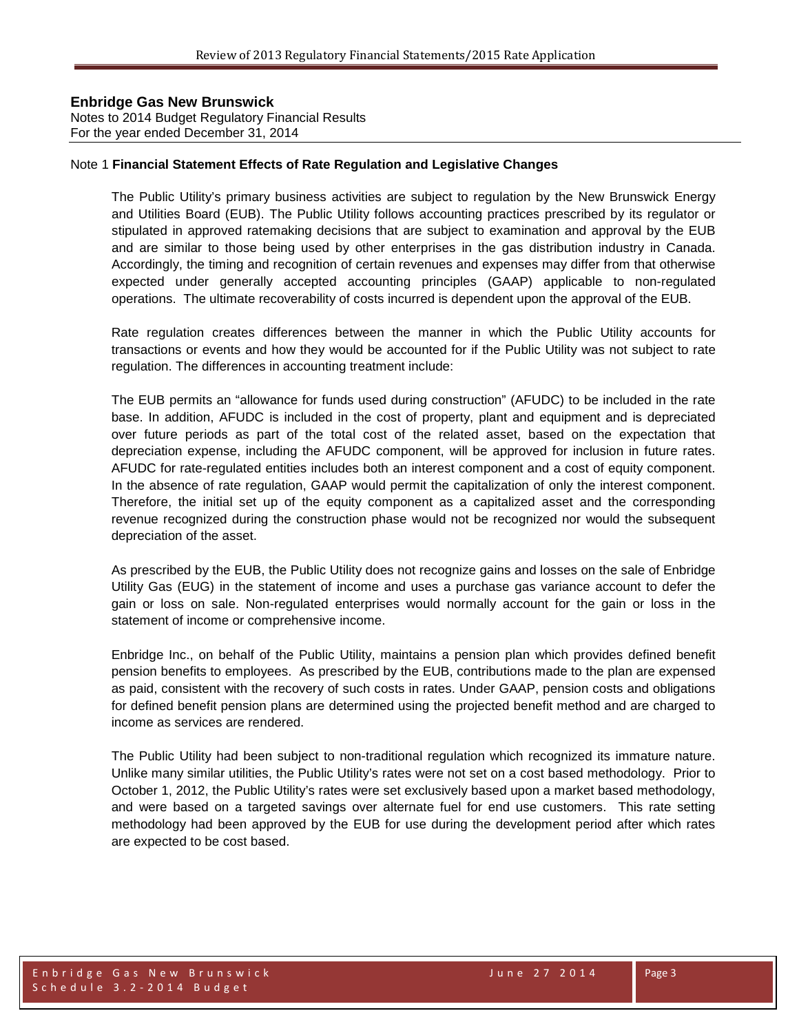**Enbridge Gas New Brunswick**  Notes to 2014 Budget Regulatory Financial Results For the year ended December 31, 2014

#### Note 1 **Financial Statement Effects of Rate Regulation and Legislative Changes**

The Public Utility's primary business activities are subject to regulation by the New Brunswick Energy and Utilities Board (EUB). The Public Utility follows accounting practices prescribed by its regulator or stipulated in approved ratemaking decisions that are subject to examination and approval by the EUB and are similar to those being used by other enterprises in the gas distribution industry in Canada. Accordingly, the timing and recognition of certain revenues and expenses may differ from that otherwise expected under generally accepted accounting principles (GAAP) applicable to non-regulated operations. The ultimate recoverability of costs incurred is dependent upon the approval of the EUB.

Rate regulation creates differences between the manner in which the Public Utility accounts for transactions or events and how they would be accounted for if the Public Utility was not subject to rate regulation. The differences in accounting treatment include:

The EUB permits an "allowance for funds used during construction" (AFUDC) to be included in the rate base. In addition, AFUDC is included in the cost of property, plant and equipment and is depreciated over future periods as part of the total cost of the related asset, based on the expectation that depreciation expense, including the AFUDC component, will be approved for inclusion in future rates. AFUDC for rate-regulated entities includes both an interest component and a cost of equity component. In the absence of rate regulation, GAAP would permit the capitalization of only the interest component. Therefore, the initial set up of the equity component as a capitalized asset and the corresponding revenue recognized during the construction phase would not be recognized nor would the subsequent depreciation of the asset.

As prescribed by the EUB, the Public Utility does not recognize gains and losses on the sale of Enbridge Utility Gas (EUG) in the statement of income and uses a purchase gas variance account to defer the gain or loss on sale. Non-regulated enterprises would normally account for the gain or loss in the statement of income or comprehensive income.

Enbridge Inc., on behalf of the Public Utility, maintains a pension plan which provides defined benefit pension benefits to employees. As prescribed by the EUB, contributions made to the plan are expensed as paid, consistent with the recovery of such costs in rates. Under GAAP, pension costs and obligations for defined benefit pension plans are determined using the projected benefit method and are charged to income as services are rendered.

The Public Utility had been subject to non-traditional regulation which recognized its immature nature. Unlike many similar utilities, the Public Utility's rates were not set on a cost based methodology. Prior to October 1, 2012, the Public Utility's rates were set exclusively based upon a market based methodology, and were based on a targeted savings over alternate fuel for end use customers. This rate setting methodology had been approved by the EUB for use during the development period after which rates are expected to be cost based.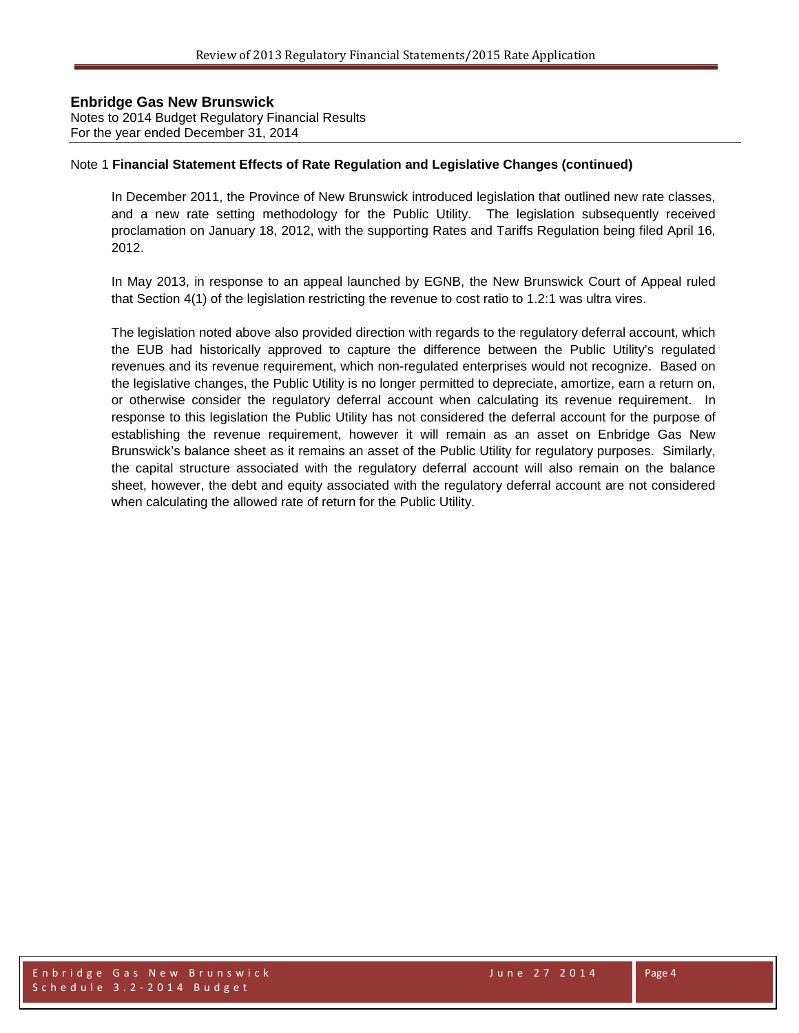Notes to 2014 Budget Regulatory Financial Results For the year ended December 31, 2014

#### Note 1 **Financial Statement Effects of Rate Regulation and Legislative Changes (continued)**

In December 2011, the Province of New Brunswick introduced legislation that outlined new rate classes, and a new rate setting methodology for the Public Utility. The legislation subsequently received proclamation on January 18, 2012, with the supporting Rates and Tariffs Regulation being filed April 16, 2012.

In May 2013, in response to an appeal launched by EGNB, the New Brunswick Court of Appeal ruled that Section 4(1) of the legislation restricting the revenue to cost ratio to 1.2:1 was ultra vires.

The legislation noted above also provided direction with regards to the regulatory deferral account, which the EUB had historically approved to capture the difference between the Public Utility's regulated revenues and its revenue requirement, which non-regulated enterprises would not recognize. Based on the legislative changes, the Public Utility is no longer permitted to depreciate, amortize, earn a return on, or otherwise consider the regulatory deferral account when calculating its revenue requirement. In response to this legislation the Public Utility has not considered the deferral account for the purpose of establishing the revenue requirement, however it will remain as an asset on Enbridge Gas New Brunswick's balance sheet as it remains an asset of the Public Utility for regulatory purposes. Similarly, the capital structure associated with the regulatory deferral account will also remain on the balance sheet, however, the debt and equity associated with the regulatory deferral account are not considered when calculating the allowed rate of return for the Public Utility.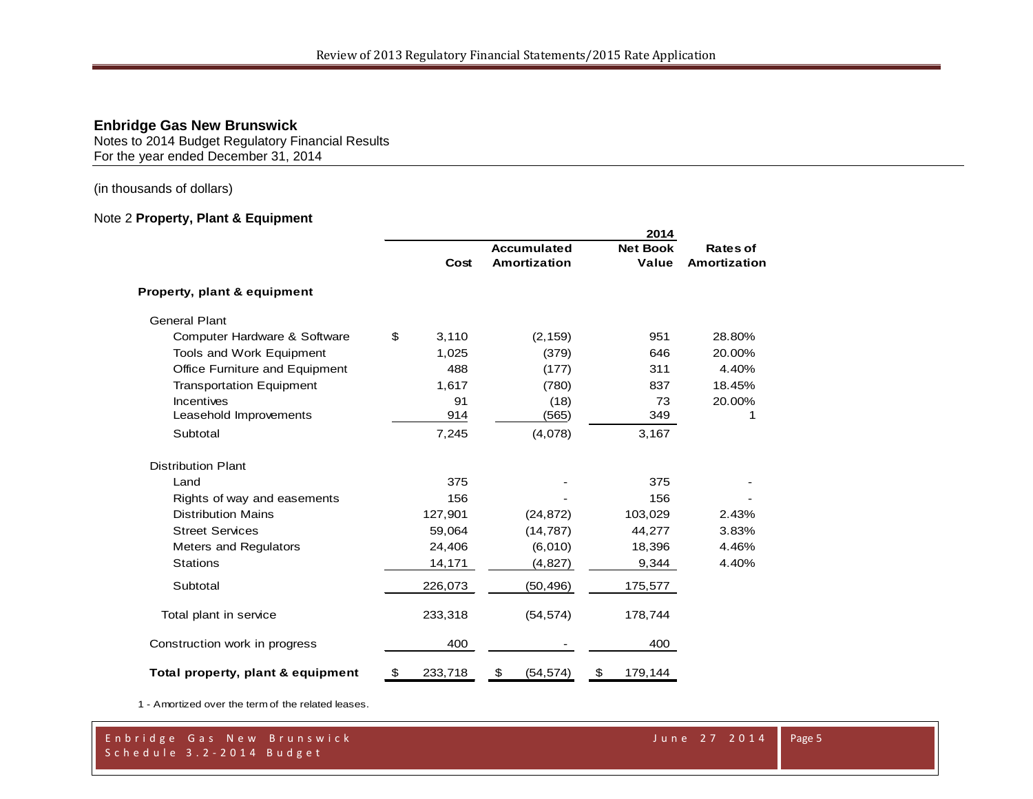Notes to 2014 Budget Regulatory Financial Results For the year ended December 31, 2014

(in thousands of dollars)

# Note 2 **Property, Plant & Equipment**

|                                   |               |                                    | 2014                     |                          |
|-----------------------------------|---------------|------------------------------------|--------------------------|--------------------------|
|                                   | Cost          | <b>Accumulated</b><br>Amortization | <b>Net Book</b><br>Value | Rates of<br>Amortization |
|                                   |               |                                    |                          |                          |
| Property, plant & equipment       |               |                                    |                          |                          |
| <b>General Plant</b>              |               |                                    |                          |                          |
| Computer Hardware & Software      | \$<br>3,110   | (2, 159)                           | 951                      | 28.80%                   |
| Tools and Work Equipment          | 1,025         | (379)                              | 646                      | 20.00%                   |
| Office Furniture and Equipment    | 488           | (177)                              | 311                      | 4.40%                    |
| <b>Transportation Equipment</b>   | 1,617         | (780)                              | 837                      | 18.45%                   |
| Incentives                        | 91            | (18)                               | 73                       | 20.00%                   |
| Leasehold Improvements            | 914           | (565)                              | 349                      | 1                        |
| Subtotal                          | 7,245         | (4,078)                            | 3,167                    |                          |
| <b>Distribution Plant</b>         |               |                                    |                          |                          |
| Land                              | 375           |                                    | 375                      |                          |
| Rights of way and easements       | 156           |                                    | 156                      |                          |
| <b>Distribution Mains</b>         | 127,901       | (24, 872)                          | 103,029                  | 2.43%                    |
| <b>Street Services</b>            | 59,064        | (14, 787)                          | 44,277                   | 3.83%                    |
| <b>Meters and Regulators</b>      | 24,406        | (6,010)                            | 18,396                   | 4.46%                    |
| <b>Stations</b>                   | 14,171        | (4,827)                            | 9,344                    | 4.40%                    |
| Subtotal                          | 226,073       | (50, 496)                          | 175,577                  |                          |
| Total plant in service            | 233,318       | (54, 574)                          | 178,744                  |                          |
| Construction work in progress     | 400           |                                    | 400                      |                          |
| Total property, plant & equipment | \$<br>233,718 | \$<br>(54, 574)                    | \$<br>179,144            |                          |

1 - Amortized over the term of the related leases.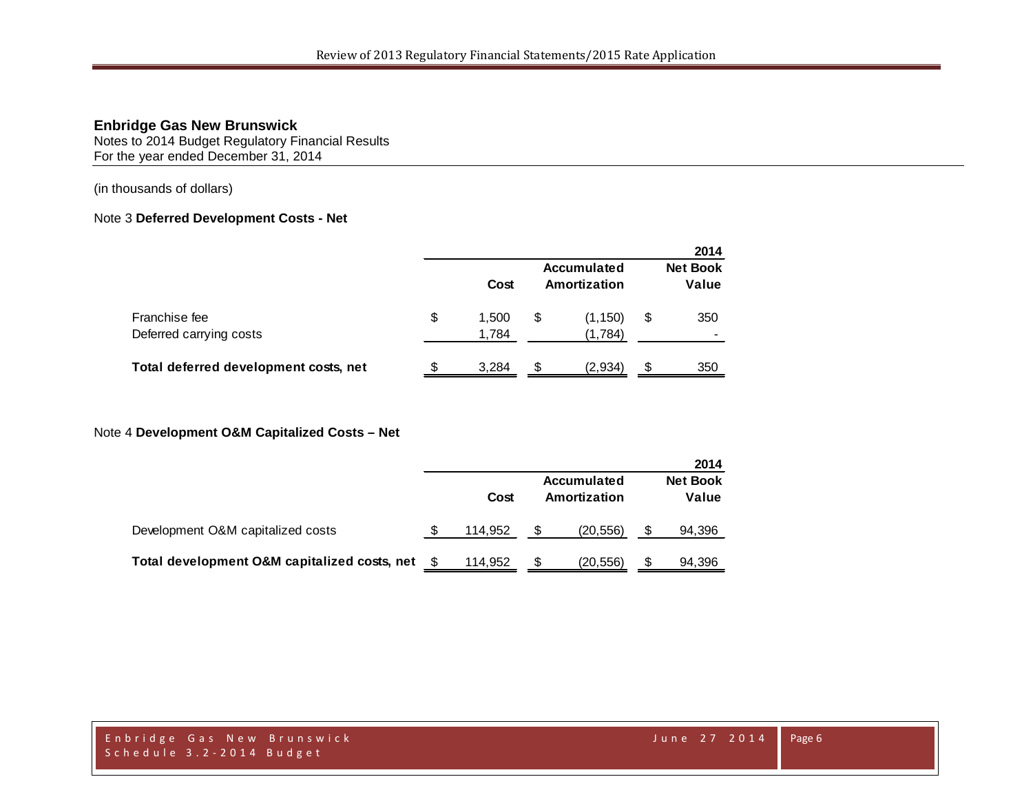Notes to 2014 Budget Regulatory Financial Results For the year ended December 31, 2014

(in thousands of dollars)

#### Note 3 **Deferred Development Costs - Net**

|                                          |     |                |     |                                    |    | 2014                     |
|------------------------------------------|-----|----------------|-----|------------------------------------|----|--------------------------|
|                                          |     | Cost           |     | <b>Accumulated</b><br>Amortization |    | <b>Net Book</b><br>Value |
| Franchise fee<br>Deferred carrying costs | \$  | 1.500<br>1,784 | \$  | (1, 150)<br>(1,784)                | \$ | 350                      |
| Total deferred development costs, net    | \$. | 3.284          | \$. | (2,934)                            | S  | 350                      |

#### Note 4 **Development O&M Capitalized Costs – Net**

|                                              |         |                                    | 2014                     |
|----------------------------------------------|---------|------------------------------------|--------------------------|
|                                              | Cost    | <b>Accumulated</b><br>Amortization | <b>Net Book</b><br>Value |
| Development O&M capitalized costs            | 114.952 | (20, 556)                          | 94,396                   |
| Total development O&M capitalized costs, net | 114.952 | (20,556)                           | 94,396                   |

Enbridge Gas New Brunswick June 27 2014 Schedule 3.2 - 2014 Budget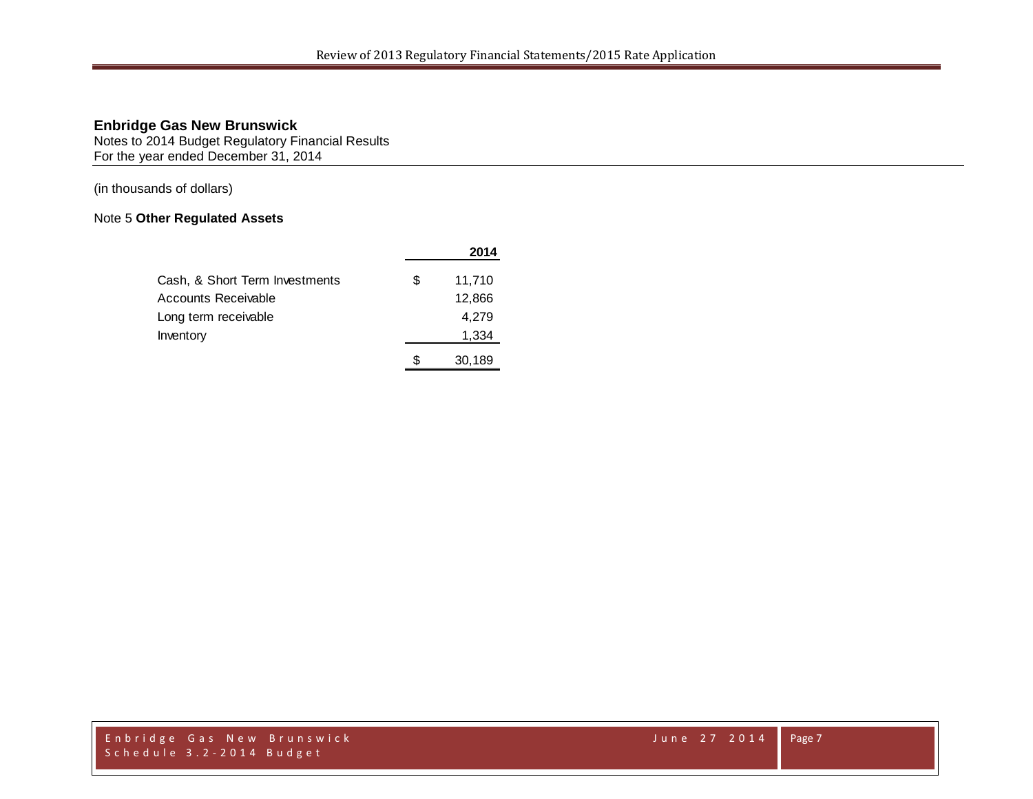Notes to 2014 Budget Regulatory Financial Results For the year ended December 31, 2014

(in thousands of dollars)

# Note 5 **Other Regulated Assets**

|                                |   | 2014   |
|--------------------------------|---|--------|
| Cash, & Short Term Investments | S | 11.710 |
| Accounts Receivable            |   | 12,866 |
| Long term receivable           |   | 4,279  |
| Inventory                      |   | 1,334  |
|                                |   | 30,189 |

Enbridge Gas New Brunswick June 27 2014 Schedule 3.2 - 2014 Budget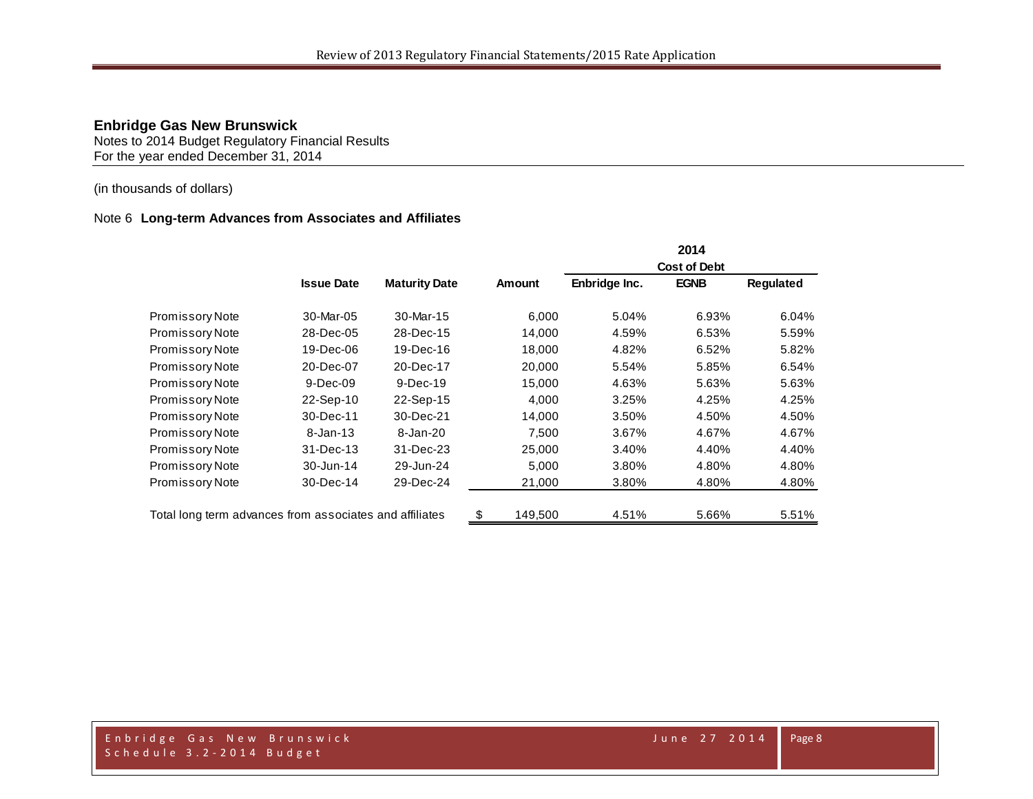Notes to 2014 Budget Regulatory Financial Results For the year ended December 31, 2014

#### (in thousands of dollars)

#### Note 6 **Long-term Advances from Associates and Affiliates**

|                                                         |                   |                      |               |               | 2014                |                  |
|---------------------------------------------------------|-------------------|----------------------|---------------|---------------|---------------------|------------------|
|                                                         |                   |                      |               |               | <b>Cost of Debt</b> |                  |
|                                                         | <b>Issue Date</b> | <b>Maturity Date</b> | <b>Amount</b> | Enbridge Inc. | <b>EGNB</b>         | <b>Requlated</b> |
| Promissory Note                                         | 30-Mar-05         | 30-Mar-15            | 6,000         | 5.04%         | 6.93%               | 6.04%            |
| <b>Promissory Note</b>                                  | 28-Dec-05         | 28-Dec-15            | 14,000        | 4.59%         | 6.53%               | 5.59%            |
| Promissory Note                                         | 19-Dec-06         | 19-Dec-16            | 18,000        | 4.82%         | 6.52%               | 5.82%            |
| Promissory Note                                         | 20-Dec-07         | 20-Dec-17            | 20,000        | 5.54%         | 5.85%               | 6.54%            |
| Promissory Note                                         | 9-Dec-09          | 9-Dec-19             | 15,000        | 4.63%         | 5.63%               | 5.63%            |
| Promissory Note                                         | 22-Sep-10         | 22-Sep-15            | 4,000         | 3.25%         | 4.25%               | 4.25%            |
| <b>Promissory Note</b>                                  | 30-Dec-11         | 30-Dec-21            | 14,000        | 3.50%         | 4.50%               | 4.50%            |
| <b>Promissory Note</b>                                  | $8 - Jan-13$      | 8-Jan-20             | 7.500         | 3.67%         | 4.67%               | 4.67%            |
| <b>Promissory Note</b>                                  | 31-Dec-13         | 31-Dec-23            | 25,000        | 3.40%         | 4.40%               | 4.40%            |
| <b>Promissory Note</b>                                  | 30-Jun-14         | 29-Jun-24            | 5,000         | 3.80%         | 4.80%               | 4.80%            |
| <b>Promissory Note</b>                                  | 30-Dec-14         | 29-Dec-24            | 21,000        | 3.80%         | 4.80%               | 4.80%            |
| Total long term advances from associates and affiliates |                   |                      | \$<br>149,500 | 4.51%         | 5.66%               | 5.51%            |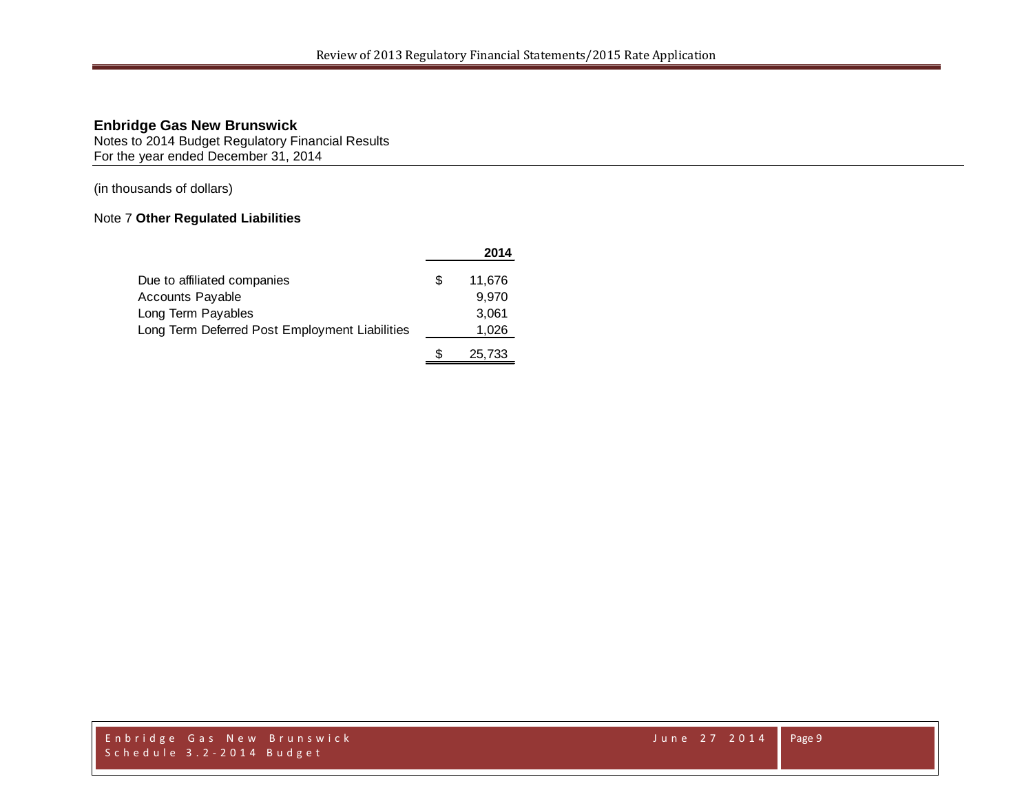Notes to 2014 Budget Regulatory Financial Results For the year ended December 31, 2014

(in thousands of dollars)

# Note 7 **Other Regulated Liabilities**

|                                                |   | 2014   |
|------------------------------------------------|---|--------|
| Due to affiliated companies                    | S | 11.676 |
| <b>Accounts Payable</b>                        |   | 9.970  |
| Long Term Payables                             |   | 3,061  |
| Long Term Deferred Post Employment Liabilities |   | 1,026  |
|                                                |   | 25,733 |

Enbridge Gas New Brunswick June 27 2014 Schedule 3.2 - 2014 Budget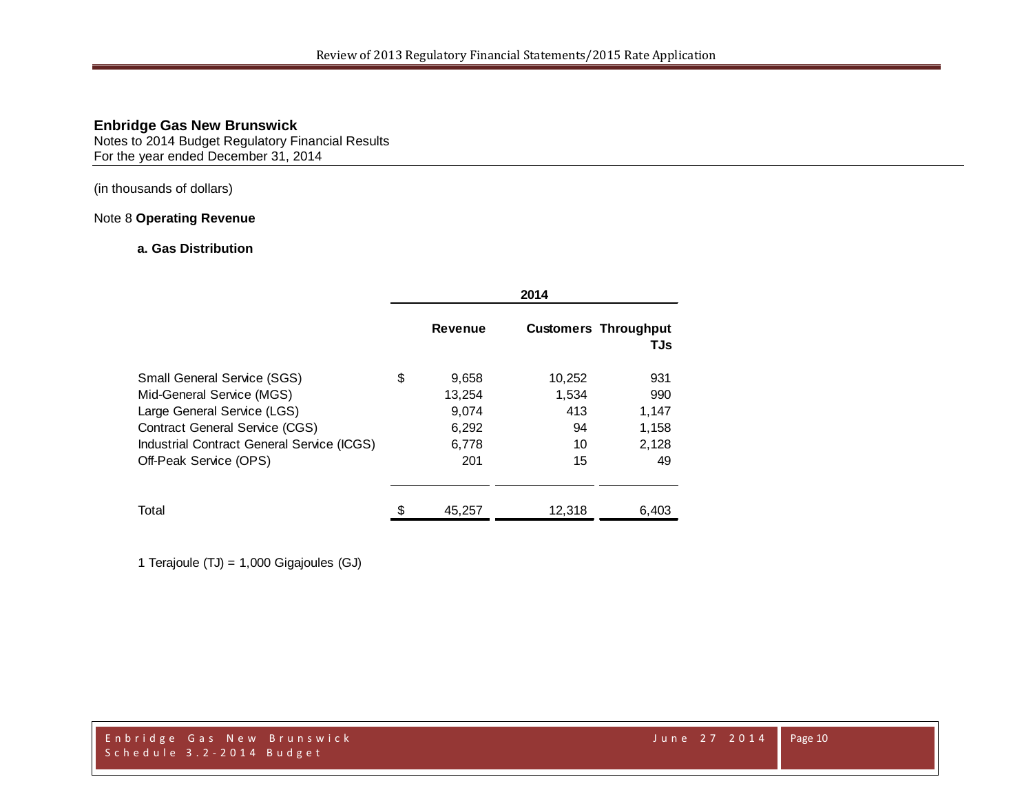Notes to 2014 Budget Regulatory Financial Results For the year ended December 31, 2014

#### (in thousands of dollars)

# Note 8 **Operating Revenue**

#### **a. Gas Distribution**

|                                                                                                                                                                                                                 | 2014 |                                                   |                                          |                                             |
|-----------------------------------------------------------------------------------------------------------------------------------------------------------------------------------------------------------------|------|---------------------------------------------------|------------------------------------------|---------------------------------------------|
|                                                                                                                                                                                                                 |      | <b>Revenue</b>                                    |                                          | <b>Customers Throughput</b><br>TJs          |
| <b>Small General Service (SGS)</b><br>Mid-General Service (MGS)<br>Large General Service (LGS)<br><b>Contract General Service (CGS)</b><br>Industrial Contract General Service (ICGS)<br>Off-Peak Service (OPS) | \$   | 9,658<br>13,254<br>9,074<br>6,292<br>6,778<br>201 | 10,252<br>1,534<br>413<br>94<br>10<br>15 | 931<br>990<br>1,147<br>1,158<br>2,128<br>49 |
| Total                                                                                                                                                                                                           |      | 45,257                                            | 12,318                                   | 6,403                                       |

1 Terajoule (TJ) = 1,000 Gigajoules (GJ)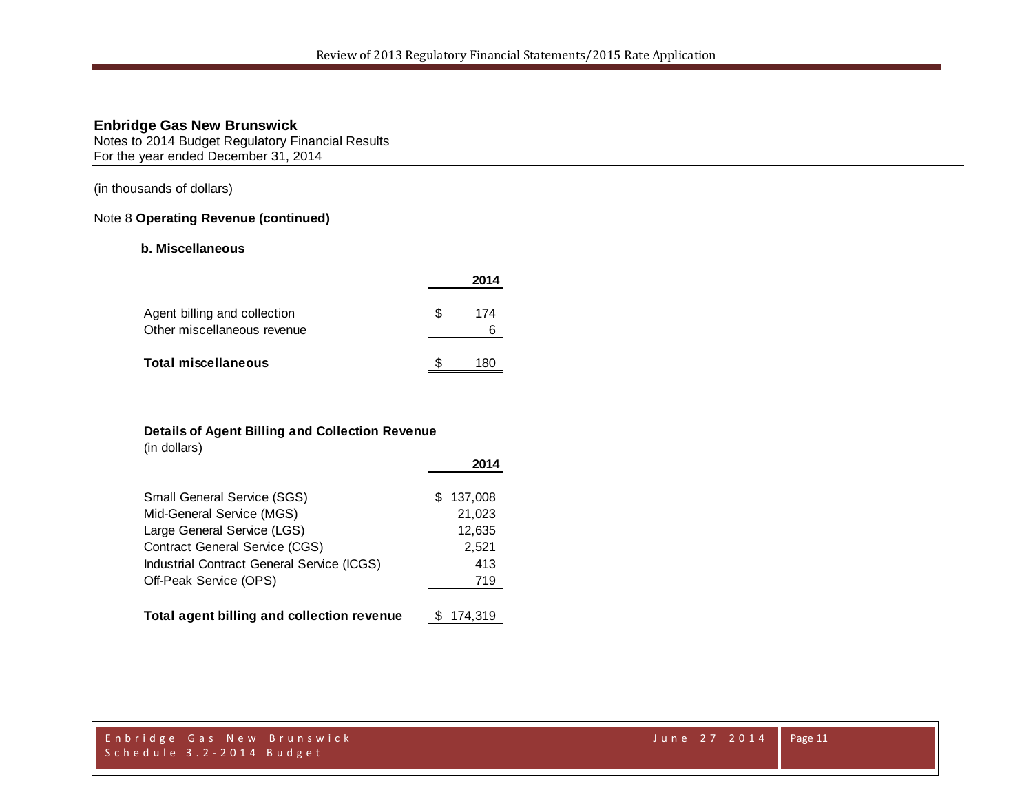Notes to 2014 Budget Regulatory Financial Results For the year ended December 31, 2014

(in thousands of dollars)

#### Note 8 **Operating Revenue (continued)**

#### **b. Miscellaneous**

|                                                             |    | 2014     |
|-------------------------------------------------------------|----|----------|
| Agent billing and collection<br>Other miscellaneous revenue | £. | 174<br>6 |
| <b>Total miscellaneous</b>                                  |    | 180      |

#### **Details of Agent Billing and Collection Revenue**

(in dollars)

|                                            | 2014           |
|--------------------------------------------|----------------|
| Small General Service (SGS)                | 137,008<br>SS. |
| Mid-General Service (MGS)                  | 21,023         |
| Large General Service (LGS)                | 12,635         |
| Contract General Service (CGS)             | 2,521          |
| Industrial Contract General Service (ICGS) | 413            |
| Off-Peak Service (OPS)                     | 719            |
|                                            |                |
| Total agent billing and collection revenue | 174.319        |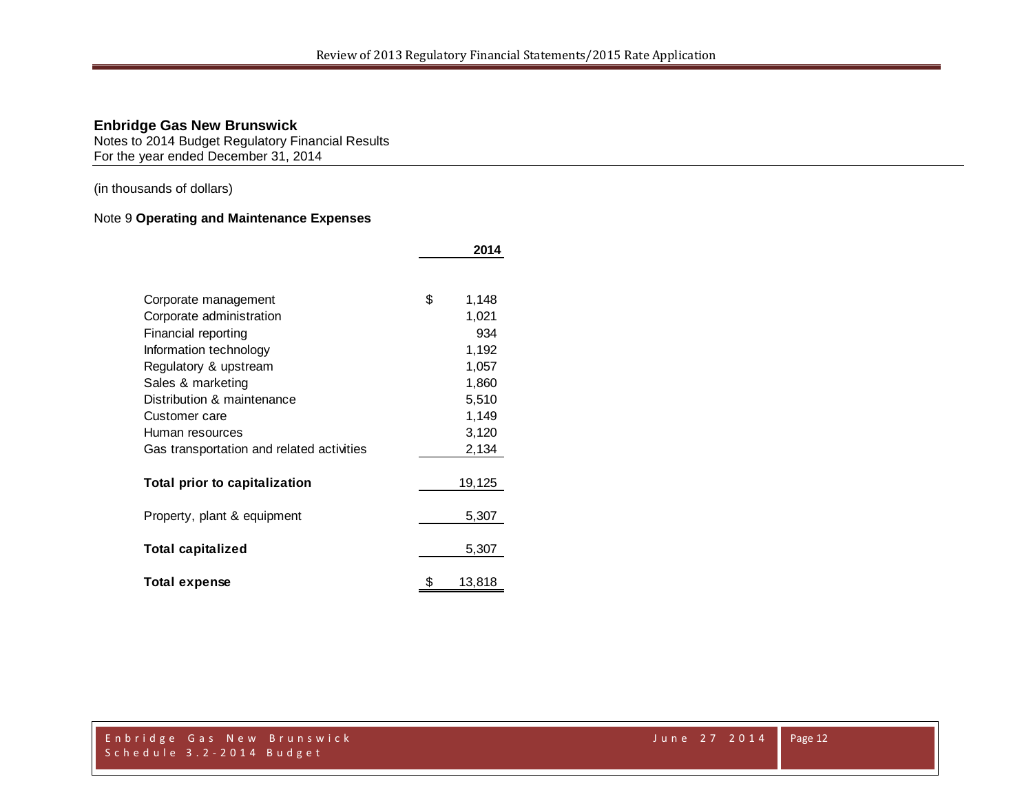Notes to 2014 Budget Regulatory Financial Results For the year ended December 31, 2014

(in thousands of dollars)

# Note 9 **Operating and Maintenance Expenses**

|                                           | 2014         |
|-------------------------------------------|--------------|
|                                           |              |
| Corporate management                      | \$<br>1,148  |
| Corporate administration                  | 1,021        |
| Financial reporting                       | 934          |
| Information technology                    | 1,192        |
| Regulatory & upstream                     | 1,057        |
| Sales & marketing                         | 1,860        |
| Distribution & maintenance                | 5,510        |
| Customer care                             | 1,149        |
| Human resources                           | 3,120        |
| Gas transportation and related activities | 2,134        |
| Total prior to capitalization             | 19,125       |
| Property, plant & equipment               | 5,307        |
| <b>Total capitalized</b>                  | 5,307        |
| <b>Total expense</b>                      | \$<br>13,818 |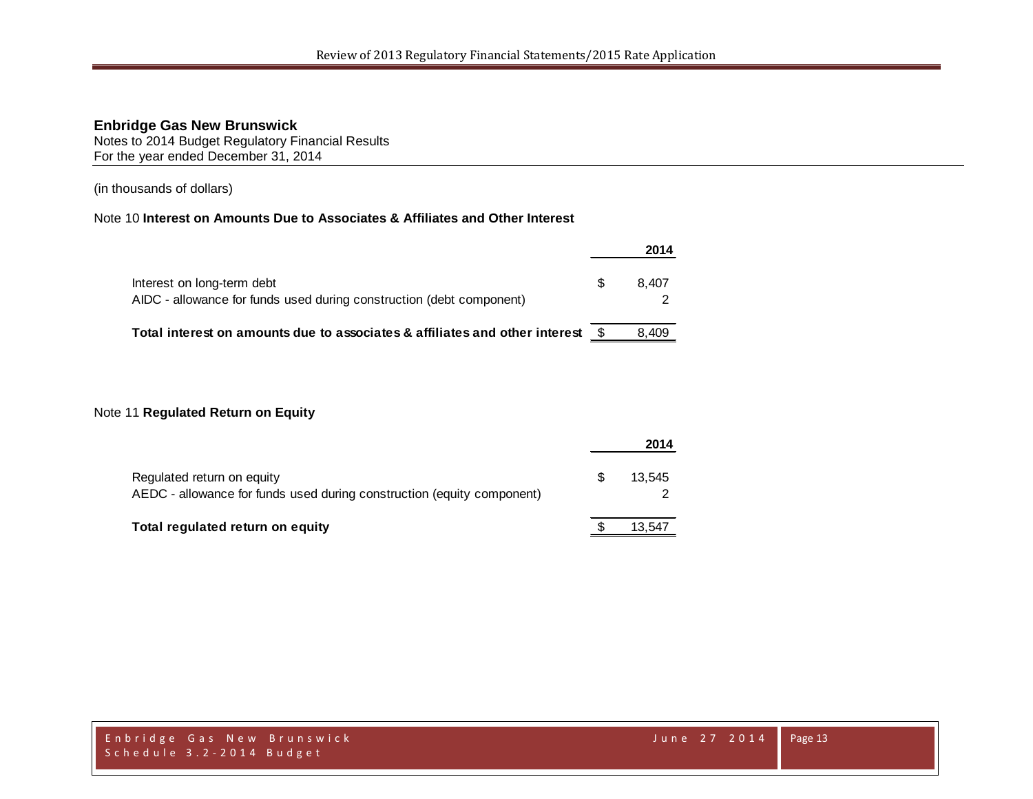Notes to 2014 Budget Regulatory Financial Results For the year ended December 31, 2014

(in thousands of dollars)

# Note 10 **Interest on Amounts Due to Associates & Affiliates and Other Interest**

|                                                                                                    |   | 2014  |
|----------------------------------------------------------------------------------------------------|---|-------|
| Interest on long-term debt<br>AIDC - allowance for funds used during construction (debt component) | S | 8.407 |
| Total interest on amounts due to associates & affiliates and other interest                        |   | 8.409 |

#### Note 11 **Regulated Return on Equity**

|                                                                                                      | 2014   |
|------------------------------------------------------------------------------------------------------|--------|
| Regulated return on equity<br>AEDC - allowance for funds used during construction (equity component) | 13.545 |
| Total regulated return on equity                                                                     | 13.547 |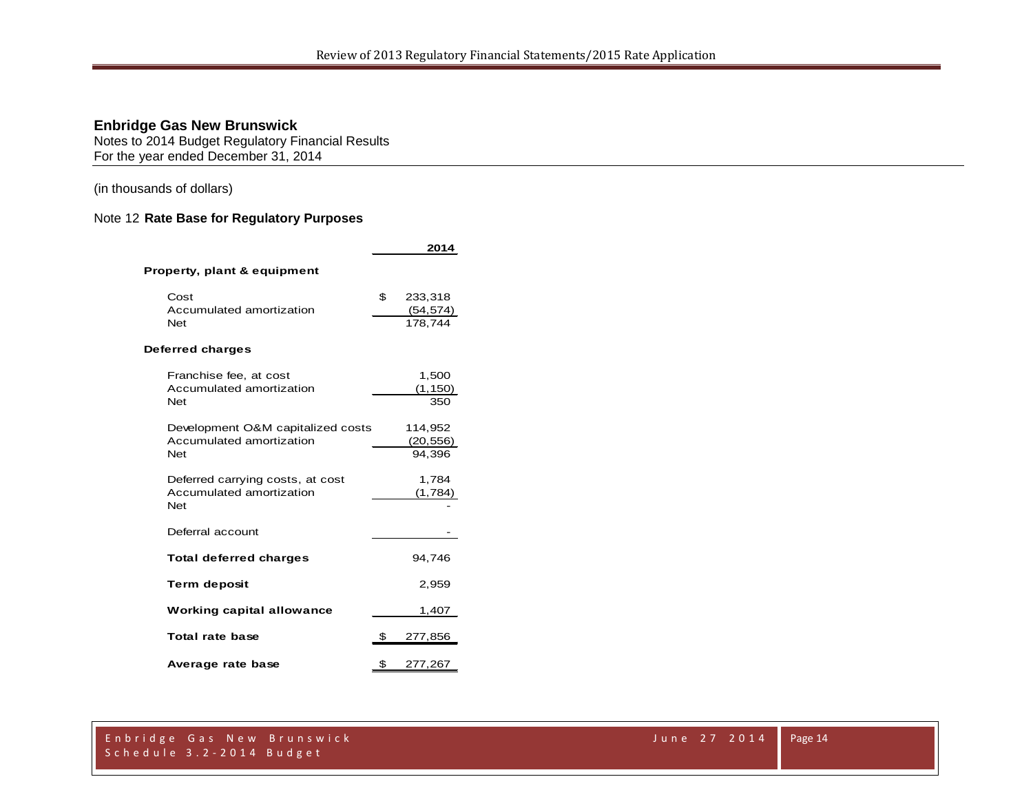Notes to 2014 Budget Regulatory Financial Results For the year ended December 31, 2014

(in thousands of dollars)

# Note 12 **Rate Base for Regulatory Purposes**

|                                        | 2014                       |
|----------------------------------------|----------------------------|
| Property, plant & equipment            |                            |
| Cost<br>Accumulated amortization       | \$<br>233,318<br>(54, 574) |
| <b>Net</b>                             | 178.744                    |
| Deferred charges                       |                            |
| Franchise fee, at cost                 | 1,500                      |
| Accumulated amortization<br><b>Net</b> | (1, 150)<br>350            |
| Development O&M capitalized costs      | 114,952                    |
| Accumulated amortization<br><b>Net</b> | (20, 556)<br>94,396        |
| Deferred carrying costs, at cost       | 1,784                      |
| Accumulated amortization<br><b>Net</b> | (1,784)                    |
| Deferral account                       |                            |
| <b>Total deferred charges</b>          | 94,746                     |
| <b>Term deposit</b>                    | 2,959                      |
| <b>Working capital allowance</b>       | 1,407                      |
| Total rate base                        | \$<br>277,856              |
| Average rate base                      | \$<br>277,267              |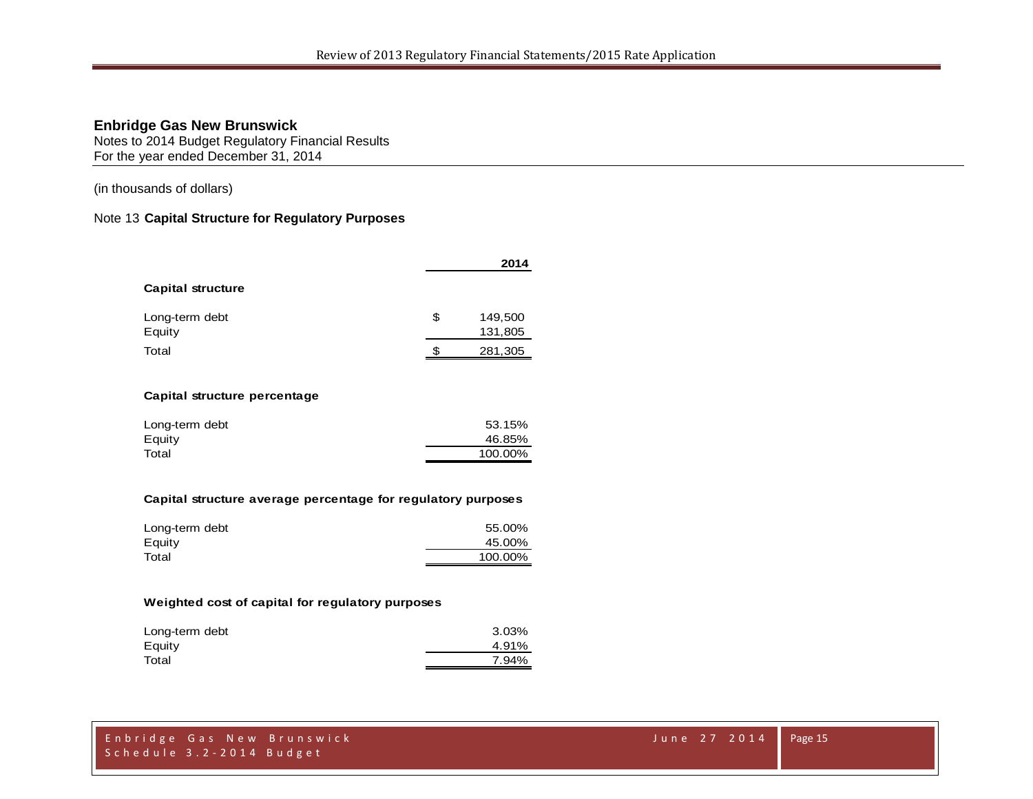Notes to 2014 Budget Regulatory Financial Results For the year ended December 31, 2014

(in thousands of dollars)

#### Note 13 **Capital Structure for Regulatory Purposes**

|                          |     | 2014               |
|--------------------------|-----|--------------------|
| <b>Capital structure</b> |     |                    |
| Long-term debt<br>Equity | \$  | 149,500<br>131,805 |
|                          |     |                    |
| Total                    | \$. | 281,305            |

#### **Capital structure percentage**

| Long-term debt | 53.15%  |
|----------------|---------|
| Equity         | 46.85%  |
| Total          | 100.00% |
|                |         |

#### **Capital structure average percentage for regulatory purposes**

| Long-term debt | 55.00%  |
|----------------|---------|
| Equity         | 45.00%  |
| Total          | 100.00% |

#### **Weighted cost of capital for regulatory purposes**

| Long-term debt | 3.03% |
|----------------|-------|
| Equity         | 4.91% |
| Total          | 7.94% |